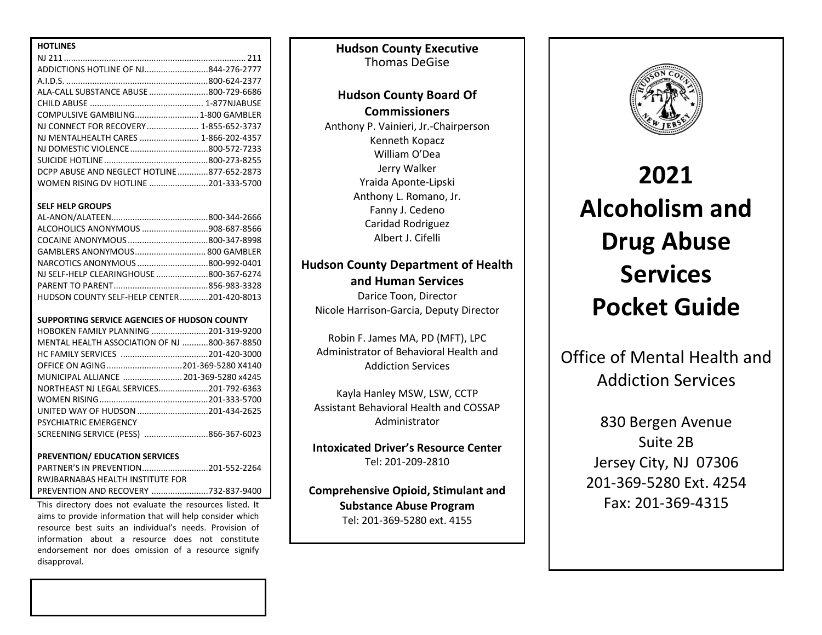| <b>HOTLINES</b>                            |  |
|--------------------------------------------|--|
|                                            |  |
| ADDICTIONS HOTLINE OF NJ844-276-2777       |  |
|                                            |  |
| ALA-CALL SUBSTANCE ABUSE 800-729-6686      |  |
|                                            |  |
|                                            |  |
| NJ CONNECT FOR RECOVERY 1-855-652-3737     |  |
| NI MFNTALHEALTH CARES  1-866-202-4357      |  |
|                                            |  |
|                                            |  |
| DCPP ABUSE AND NEGLECT HOTLINE877-652-2873 |  |
| WOMEN RISING DV HOTLINE 201-333-5700       |  |

### **SELF HELP GROUPS**

| ALCOHOLICS ANONYMOUS 908-687-8566          |  |
|--------------------------------------------|--|
|                                            |  |
| GAMBLERS ANONYMOUS 800 GAMBLER             |  |
|                                            |  |
| NJ SELF-HELP CLEARINGHOUSE 800-367-6274    |  |
|                                            |  |
| HUDSON COUNTY SELF-HELP CENTER201-420-8013 |  |

#### **SUPPORTING SERVICE AGENCIES OF HUDSON COUNTY**

| HOBOKEN FAMILY PLANNING 201-319-9200                                                                            |  |
|-----------------------------------------------------------------------------------------------------------------|--|
| MENTAL HEALTH ASSOCIATION OF NJ 800-367-8850                                                                    |  |
|                                                                                                                 |  |
| OFFICE ON AGING201-369-5280 X4140                                                                               |  |
| MUNICIPAL ALLIANCE  201-369-5280 x4245                                                                          |  |
| NORTHEAST NJ LEGAL SERVICES201-792-6363                                                                         |  |
|                                                                                                                 |  |
|                                                                                                                 |  |
| <b>PSYCHIATRIC EMERGENCY</b>                                                                                    |  |
| SCREENING SERVICE (PESS) 866-367-6023                                                                           |  |
|                                                                                                                 |  |
| <b>PREVENTION/ EDUCATION SERVICES</b>                                                                           |  |
| ○ 1999年 - 1999年 - 1999年 - 1999年 - 1999年 - 1999年 - 1999年 - 1999年 - 1999年 - 1999年 - 1999年 - 1999年 - 1999年 - 1999年 |  |

| PARTNER'S IN PREVENTION201-552-2264 |  |
|-------------------------------------|--|
| RWJBARNABAS HEALTH INSTITUTE FOR    |  |
|                                     |  |

This directory does not evaluate the resources listed. It aims to provide information that will help consider which resource best suits an individual's needs. Provision of information about a resource does not constitute endorsement nor does omission of a resource signify disapproval.

**Hudson County Executive** Thomas DeGise

## **Hudson County Board Of Commissioners**

Anthony P. Vainieri, Jr.-Chairperson Kenneth Kopacz William O'Dea Jerry Walker Yraida Aponte-Lipski Anthony L. Romano, Jr. Fanny J. Cedeno Caridad Rodriguez Albert J. Cifelli

## **Hudson County Department of Health and Human Services**

Darice Toon, Director Nicole Harrison-Garcia, Deputy Director

Robin F. James MA, PD (MFT), LPC Administrator of Behavioral Health and Addiction Services

Kayla Hanley MSW, LSW, CCTP Assistant Behavioral Health and COSSAP Administrator

**Intoxicated Driver's Resource Center** Tel: 201-209-2810

**Comprehensive Opioid, Stimulant and Substance Abuse Program** Tel: 201-369-5280 ext. 4155



# **2021 Alcoholism and Drug Abuse Services Pocket Guide**

Office of Mental Health and Addiction Services

> 830 Bergen Avenue Suite 2B Jersey City, NJ 07306 201-369-5280 Ext. 4254 Fax: 201-369-4315